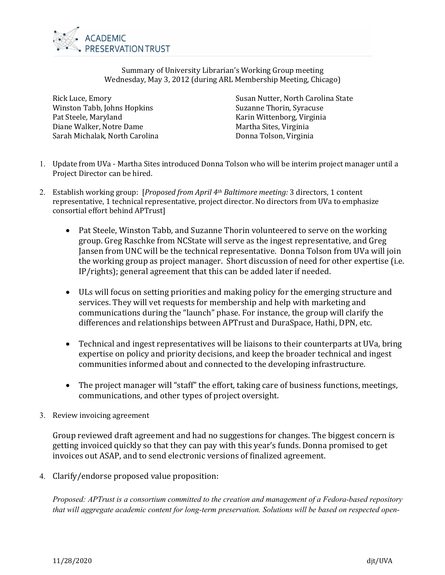

Summary of University Librarian's Working Group meeting Wednesday, May 3, 2012 (during ARL Membership Meeting, Chicago)

Rick Luce, Emory Winston Tabb, Johns Hopkins Pat Steele, Maryland Diane Walker, Notre Dame Sarah Michalak, North Carolina Susan Nutter, North Carolina State Suzanne Thorin, Syracuse Karin Wittenborg, Virginia Martha Sites, Virginia Donna Tolson, Virginia

- 1. Update from UVa Martha Sites introduced Donna Tolson who will be interim project manager until a Project Director can be hired.
- 2. Establish working group: [*Proposed from April 4th Baltimore meeting:* 3 directors, 1 content representative, 1 technical representative, project director. No directors from UVa to emphasize consortial effort behind APTrust]
	- Pat Steele, Winston Tabb, and Suzanne Thorin volunteered to serve on the working group. Greg Raschke from NCState will serve as the ingest representative, and Greg Jansen from UNC will be the technical representative. Donna Tolson from UVa will join the working group as project manager. Short discussion of need for other expertise (i.e. IP/rights); general agreement that this can be added later if needed.
	- ULs will focus on setting priorities and making policy for the emerging structure and services. They will vet requests for membership and help with marketing and communications during the "launch" phase. For instance, the group will clarify the differences and relationships between APTrust and DuraSpace, Hathi, DPN, etc.
	- Technical and ingest representatives will be liaisons to their counterparts at UVa, bring expertise on policy and priority decisions, and keep the broader technical and ingest communities informed about and connected to the developing infrastructure.
	- The project manager will "staff" the effort, taking care of business functions, meetings, communications, and other types of project oversight.
- 3. Review invoicing agreement

Group reviewed draft agreement and had no suggestions for changes. The biggest concern is getting invoiced quickly so that they can pay with this year's funds. Donna promised to get invoices out ASAP, and to send electronic versions of finalized agreement.

4. Clarify/endorse proposed value proposition:

*Proposed: APTrust is a consortium committed to the creation and management of a Fedora-based repository that will aggregate academic content for long-term preservation. Solutions will be based on respected open-*